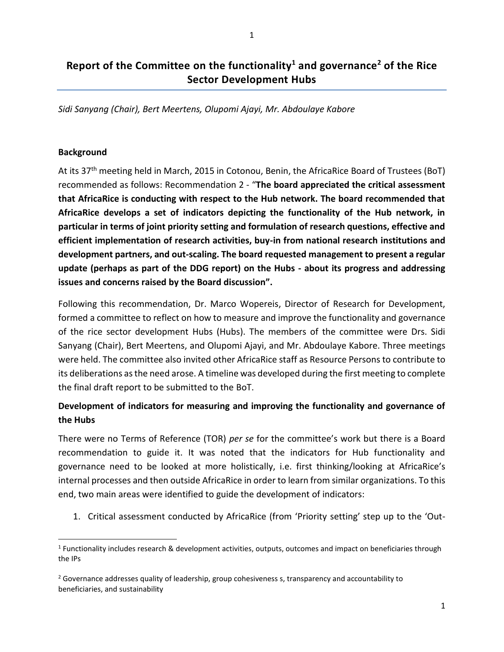# **Report of the Committee on the functionality<sup>1</sup> and governance<sup>2</sup> of the Rice Sector Development Hubs**

*Sidi Sanyang (Chair), Bert Meertens, Olupomi Ajayi, Mr. Abdoulaye Kabore*

#### **Background**

At its 37th meeting held in March, 2015 in Cotonou, Benin, the AfricaRice Board of Trustees (BoT) recommended as follows: Recommendation 2 - "**The board appreciated the critical assessment that AfricaRice is conducting with respect to the Hub network. The board recommended that AfricaRice develops a set of indicators depicting the functionality of the Hub network, in particular in terms of joint priority setting and formulation of research questions, effective and efficient implementation of research activities, buy-in from national research institutions and development partners, and out-scaling. The board requested management to present a regular update (perhaps as part of the DDG report) on the Hubs - about its progress and addressing issues and concerns raised by the Board discussion".**

Following this recommendation, Dr. Marco Wopereis, Director of Research for Development, formed a committee to reflect on how to measure and improve the functionality and governance of the rice sector development Hubs (Hubs). The members of the committee were Drs. Sidi Sanyang (Chair), Bert Meertens, and Olupomi Ajayi, and Mr. Abdoulaye Kabore. Three meetings were held. The committee also invited other AfricaRice staff as Resource Persons to contribute to its deliberations asthe need arose. A timeline was developed during the first meeting to complete the final draft report to be submitted to the BoT.

## **Development of indicators for measuring and improving the functionality and governance of the Hubs**

There were no Terms of Reference (TOR) *per se* for the committee's work but there is a Board recommendation to guide it. It was noted that the indicators for Hub functionality and governance need to be looked at more holistically, i.e. first thinking/looking at AfricaRice's internal processes and then outside AfricaRice in order to learn from similar organizations. To this end, two main areas were identified to guide the development of indicators:

1. Critical assessment conducted by AfricaRice (from 'Priority setting' step up to the 'Out-

<sup>&</sup>lt;sup>1</sup> Functionality includes research & development activities, outputs, outcomes and impact on beneficiaries through the IPs

 $2$  Governance addresses quality of leadership, group cohesiveness s, transparency and accountability to beneficiaries, and sustainability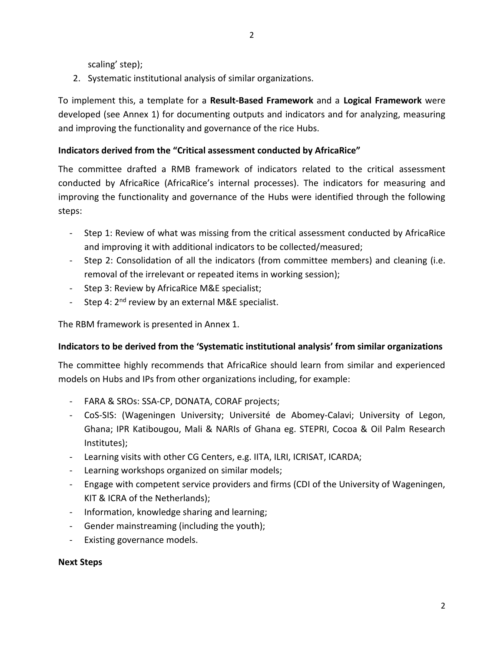scaling' step);

2. Systematic institutional analysis of similar organizations.

To implement this, a template for a **Result-Based Framework** and a **Logical Framework** were developed (see Annex 1) for documenting outputs and indicators and for analyzing, measuring and improving the functionality and governance of the rice Hubs.

2

## **Indicators derived from the "Critical assessment conducted by AfricaRice"**

The committee drafted a RMB framework of indicators related to the critical assessment conducted by AfricaRice (AfricaRice's internal processes). The indicators for measuring and improving the functionality and governance of the Hubs were identified through the following steps:

- Step 1: Review of what was missing from the critical assessment conducted by AfricaRice and improving it with additional indicators to be collected/measured;
- Step 2: Consolidation of all the indicators (from committee members) and cleaning (i.e. removal of the irrelevant or repeated items in working session);
- Step 3: Review by AfricaRice M&E specialist;
- Step 4: 2<sup>nd</sup> review by an external M&E specialist.

The RBM framework is presented in Annex 1.

### **Indicators to be derived from the 'Systematic institutional analysis' from similar organizations**

The committee highly recommends that AfricaRice should learn from similar and experienced models on Hubs and IPs from other organizations including, for example:

- FARA & SROs: SSA-CP, DONATA, CORAF projects;
- CoS-SIS: (Wageningen University; Université de Abomey-Calavi; University of Legon, Ghana; IPR Katibougou, Mali & NARIs of Ghana eg. STEPRI, Cocoa & Oil Palm Research Institutes);
- Learning visits with other CG Centers, e.g. IITA, ILRI, ICRISAT, ICARDA;
- Learning workshops organized on similar models;
- Engage with competent service providers and firms (CDI of the University of Wageningen, KIT & ICRA of the Netherlands);
- Information, knowledge sharing and learning;
- Gender mainstreaming (including the youth);
- Existing governance models.

#### **Next Steps**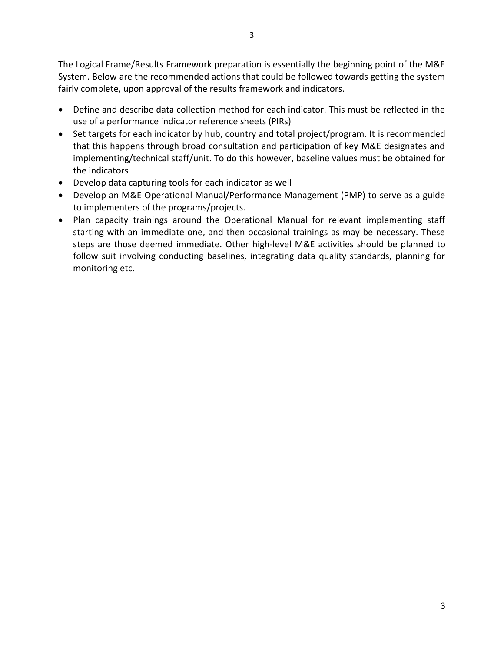The Logical Frame/Results Framework preparation is essentially the beginning point of the M&E System. Below are the recommended actions that could be followed towards getting the system fairly complete, upon approval of the results framework and indicators.

- Define and describe data collection method for each indicator. This must be reflected in the use of a performance indicator reference sheets (PIRs)
- Set targets for each indicator by hub, country and total project/program. It is recommended that this happens through broad consultation and participation of key M&E designates and implementing/technical staff/unit. To do this however, baseline values must be obtained for the indicators
- Develop data capturing tools for each indicator as well
- Develop an M&E Operational Manual/Performance Management (PMP) to serve as a guide to implementers of the programs/projects.
- Plan capacity trainings around the Operational Manual for relevant implementing staff starting with an immediate one, and then occasional trainings as may be necessary. These steps are those deemed immediate. Other high-level M&E activities should be planned to follow suit involving conducting baselines, integrating data quality standards, planning for monitoring etc.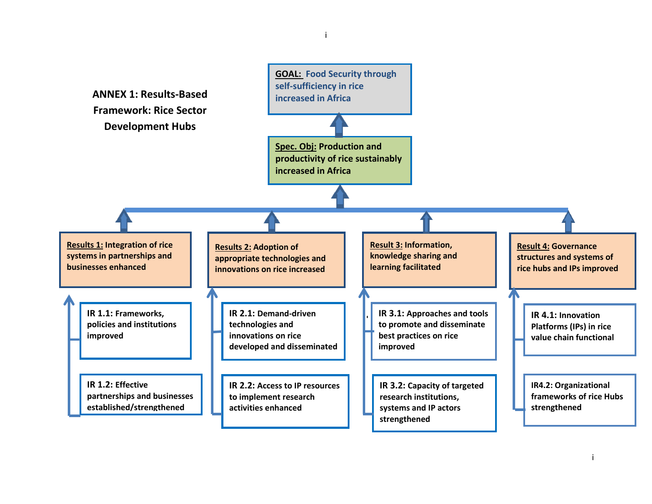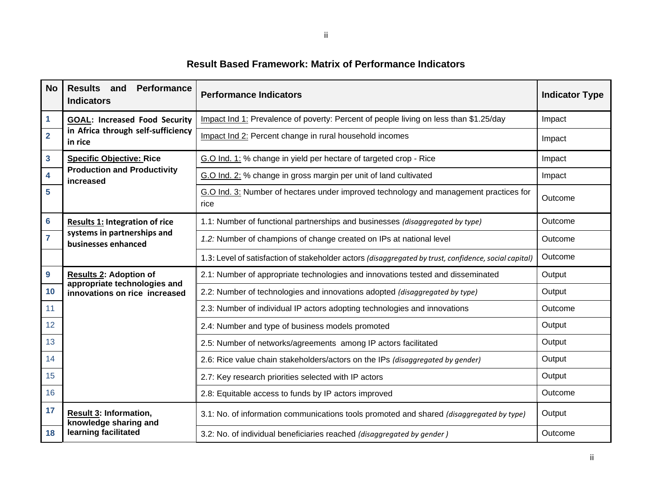# **Result Based Framework: Matrix of Performance Indicators**

| <b>No</b>               | Performance<br><b>Results</b><br>and<br><b>Indicators</b>                                      | <b>Performance Indicators</b>                                                                         | <b>Indicator Type</b> |
|-------------------------|------------------------------------------------------------------------------------------------|-------------------------------------------------------------------------------------------------------|-----------------------|
| $\mathbf{1}$            | <b>GOAL: Increased Food Security</b><br>in Africa through self-sufficiency<br>in rice          | Impact Ind 1: Prevalence of poverty: Percent of people living on less than \$1.25/day                 | Impact                |
| $\overline{2}$          |                                                                                                | Impact Ind 2: Percent change in rural household incomes                                               | Impact                |
| $\overline{\mathbf{3}}$ | <b>Specific Objective: Rice</b><br><b>Production and Productivity</b><br>increased             | G.O Ind. 1: % change in yield per hectare of targeted crop - Rice                                     | Impact                |
| $\overline{\mathbf{4}}$ |                                                                                                | G.O Ind. 2: % change in gross margin per unit of land cultivated                                      | Impact                |
| $5\phantom{a}$          |                                                                                                | G.O Ind. 3: Number of hectares under improved technology and management practices for<br>rice         | Outcome               |
| $6\phantom{a}$          | <b>Results 1: Integration of rice</b><br>systems in partnerships and<br>businesses enhanced    | 1.1: Number of functional partnerships and businesses (disaggregated by type)                         | Outcome               |
| $\overline{7}$          |                                                                                                | 1.2: Number of champions of change created on IPs at national level                                   | Outcome               |
|                         |                                                                                                | 1.3: Level of satisfaction of stakeholder actors (disaggregated by trust, confidence, social capital) | Outcome               |
| $\boldsymbol{9}$        | <b>Results 2: Adoption of</b><br>appropriate technologies and<br>innovations on rice increased | 2.1: Number of appropriate technologies and innovations tested and disseminated                       | Output                |
| 10                      |                                                                                                | 2.2: Number of technologies and innovations adopted (disaggregated by type)                           | Output                |
| 11                      |                                                                                                | 2.3: Number of individual IP actors adopting technologies and innovations                             | Outcome               |
| 12                      |                                                                                                | 2.4: Number and type of business models promoted                                                      | Output                |
| 13                      |                                                                                                | 2.5: Number of networks/agreements among IP actors facilitated                                        | Output                |
| 14                      |                                                                                                | 2.6: Rice value chain stakeholders/actors on the IPs (disaggregated by gender)                        | Output                |
| 15                      |                                                                                                | 2.7: Key research priorities selected with IP actors                                                  | Output                |
| 16                      |                                                                                                | 2.8: Equitable access to funds by IP actors improved                                                  | Outcome               |
| 17                      | <b>Result 3: Information,</b><br>knowledge sharing and<br>learning facilitated                 | 3.1: No. of information communications tools promoted and shared (disaggregated by type)              | Output                |
| 18                      |                                                                                                | 3.2: No. of individual beneficiaries reached (disaggregated by gender)                                | Outcome               |